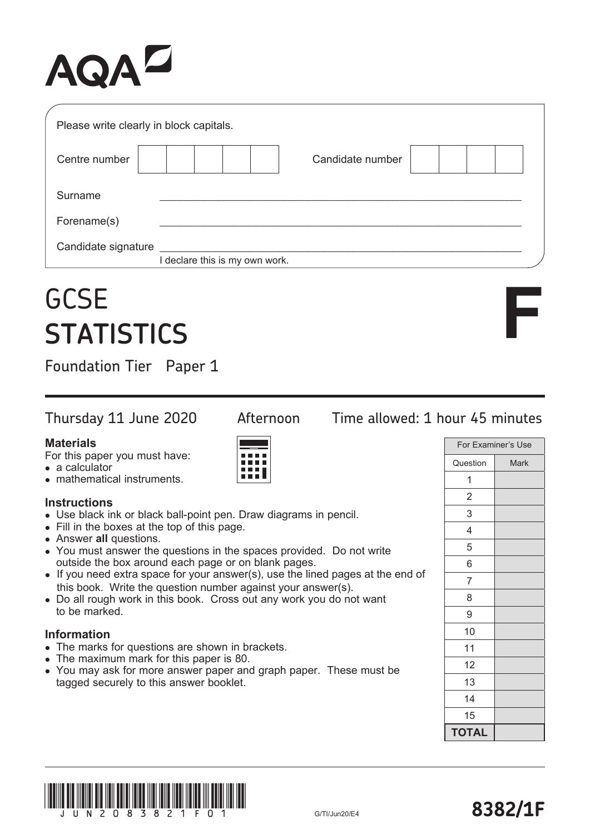# AQA

| Please write clearly in block capitals. |                                |                  |  |
|-----------------------------------------|--------------------------------|------------------|--|
| Centre number                           |                                | Candidate number |  |
| Surname                                 |                                |                  |  |
| Forename(s)                             |                                |                  |  |
| Candidate signature                     | I declare this is my own work. |                  |  |
| <b>GCSE</b><br><b>STATISTICS</b>        |                                |                  |  |

## **GCSE STATISTICS**

Foundation Tier Paper 1

#### **Materials**

For this paper you must have:

- a calculator
- mathematical instruments.

#### **Instructions**

- Use black ink or black ball-point pen. Draw diagrams in pencil.
- Fill in the boxes at the top of this page.
- Answer **all** questions.
- You must answer the questions in the spaces provided. Do not write outside the box around each page or on blank pages.
- $\bullet$  If you need extra space for your answer(s), use the lined pages at the end of this book. Write the question number against your answer(s).
- Do all rough work in this book. Cross out any work you do not want to be marked.

#### **Information**

- The marks for questions are shown in brackets.
- The maximum mark for this paper is 80.
- You may ask for more answer paper and graph paper. These must be tagged securely to this answer booklet.

### Thursday 11 June 2020 Afternoon Time allowed: 1 hour 45 minutes

|                | For Examiner's Use |
|----------------|--------------------|
| Question       | Mark               |
| 1              |                    |
| 2              |                    |
| 3              |                    |
| 4              |                    |
| 5              |                    |
| 6              |                    |
| $\overline{7}$ |                    |
| 8              |                    |
| 9              |                    |
| 10             |                    |
| 11             |                    |
| 12             |                    |
| 13             |                    |
| 14             |                    |
| 15             |                    |
| <b>TOTAL</b>   |                    |





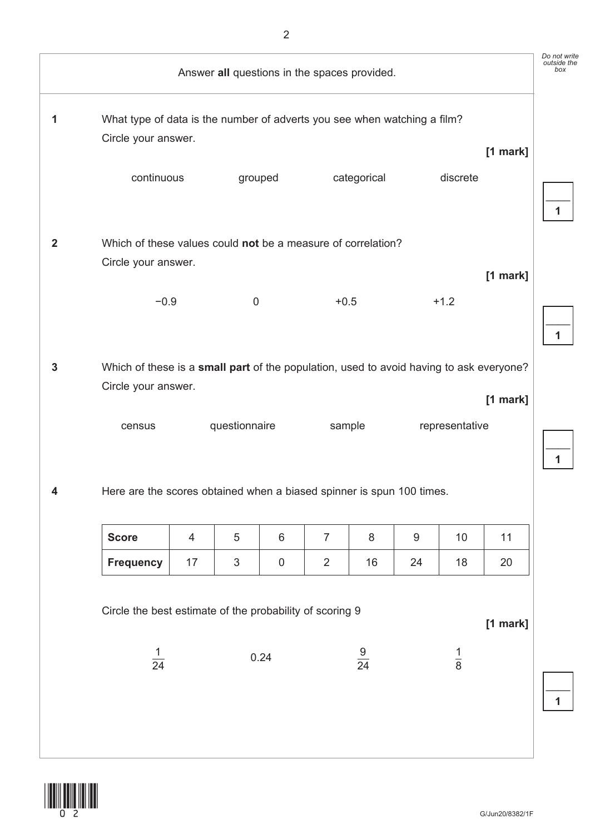|                | Answer all questions in the spaces provided.                                                                   |    |                  |             |                |                |    | Do not write<br>outside the<br>box |            |   |
|----------------|----------------------------------------------------------------------------------------------------------------|----|------------------|-------------|----------------|----------------|----|------------------------------------|------------|---|
| 1              | What type of data is the number of adverts you see when watching a film?<br>Circle your answer.                |    |                  |             |                |                |    |                                    | $[1$ mark] |   |
|                | continuous                                                                                                     |    |                  | grouped     |                | categorical    |    | discrete                           |            | 1 |
| $\overline{2}$ | Which of these values could not be a measure of correlation?<br>Circle your answer.                            |    |                  |             |                |                |    |                                    |            |   |
|                | $-0.9$                                                                                                         |    | $\boldsymbol{0}$ |             | $+0.5$         |                |    | $+1.2$                             | [1 mark]   | 1 |
| 3              | Which of these is a small part of the population, used to avoid having to ask everyone?<br>Circle your answer. |    |                  |             |                |                |    |                                    | $[1$ mark] |   |
|                | census                                                                                                         |    | questionnaire    |             | sample         |                |    | representative                     |            | 1 |
| 4              | Here are the scores obtained when a biased spinner is spun 100 times.                                          |    |                  |             |                |                |    |                                    |            |   |
|                | <b>Score</b>                                                                                                   | 4  | 5                | 6           | $\overline{7}$ | 8              | 9  | 10                                 | 11         |   |
|                | <b>Frequency</b>                                                                                               | 17 | $\sqrt{3}$       | $\mathbf 0$ | $\overline{2}$ | 16             | 24 | 18                                 | 20         |   |
|                | Circle the best estimate of the probability of scoring 9                                                       |    |                  |             |                |                |    |                                    | [1 mark]   |   |
|                | $\frac{1}{24}$                                                                                                 |    |                  | 0.24        |                | $\frac{9}{24}$ |    | $\frac{1}{8}$                      |            | 1 |
|                |                                                                                                                |    |                  |             |                |                |    |                                    |            |   |

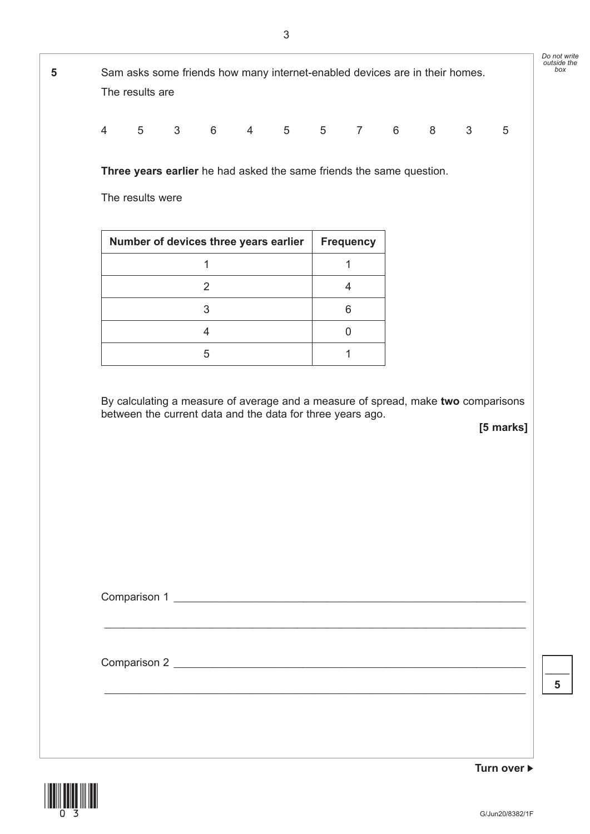*outside the box* **Turn over 5** Sam asks some friends how many internet-enabled devices are in their homes. The results are 453645576835 **Three years earlier** he had asked the same friends the same question. The results were Number of devices three years earlier | Frequency 1 1 2 4 3 6 4 0 5 1 By calculating a measure of average and a measure of spread, make **two** comparisons between the current data and the data for three years ago. **[5 marks]** Comparison 1 \_\_\_\_\_\_\_\_\_\_\_\_\_\_\_\_\_\_\_\_\_\_\_\_\_\_\_\_\_\_\_\_\_\_\_\_\_\_\_\_\_\_\_\_\_\_\_\_\_\_\_\_\_\_\_\_\_\_\_\_\_\_\_\_\_\_\_\_\_\_\_\_\_\_\_\_\_\_\_\_\_\_\_\_\_ Comparison 2 \_\_\_\_\_\_\_\_\_\_\_\_\_\_\_\_\_\_\_\_\_\_\_\_\_\_\_\_\_\_\_\_\_\_\_\_\_\_\_\_\_\_\_\_\_\_\_\_\_\_\_\_\_\_\_\_\_\_\_\_\_\_\_\_\_\_\_\_\_\_\_ \_\_\_\_\_\_\_\_\_\_\_\_\_\_\_\_\_\_\_\_\_\_\_\_\_\_\_\_\_\_\_\_\_\_\_\_\_\_\_\_\_\_\_\_\_\_\_\_\_\_\_\_\_\_\_\_\_\_\_\_\_\_\_\_\_\_\_\_\_\_\_\_\_\_\_\_\_\_\_\_\_\_\_\_\_ **5**



*Do not write*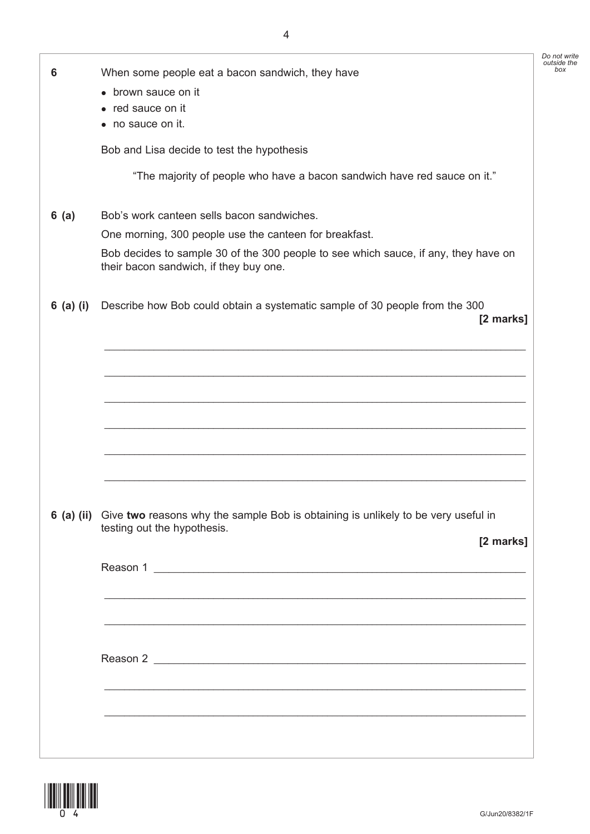|           |                                                                                                                               | Do not write<br>outside the |
|-----------|-------------------------------------------------------------------------------------------------------------------------------|-----------------------------|
| 6         | When some people eat a bacon sandwich, they have                                                                              | box                         |
|           | • brown sauce on it                                                                                                           |                             |
|           | • red sauce on it                                                                                                             |                             |
|           | • no sauce on it.                                                                                                             |                             |
|           | Bob and Lisa decide to test the hypothesis                                                                                    |                             |
|           | "The majority of people who have a bacon sandwich have red sauce on it."                                                      |                             |
| 6(a)      | Bob's work canteen sells bacon sandwiches.                                                                                    |                             |
|           | One morning, 300 people use the canteen for breakfast.                                                                        |                             |
|           | Bob decides to sample 30 of the 300 people to see which sauce, if any, they have on<br>their bacon sandwich, if they buy one. |                             |
| 6 (a) (i) | Describe how Bob could obtain a systematic sample of 30 people from the 300<br>[2 marks]                                      |                             |
|           |                                                                                                                               |                             |
|           |                                                                                                                               |                             |
|           |                                                                                                                               |                             |
|           |                                                                                                                               |                             |
|           |                                                                                                                               |                             |
|           |                                                                                                                               |                             |
|           |                                                                                                                               |                             |
|           |                                                                                                                               |                             |
|           |                                                                                                                               |                             |
|           | 6 (a) (ii) Give two reasons why the sample Bob is obtaining is unlikely to be very useful in                                  |                             |
|           | testing out the hypothesis.                                                                                                   |                             |
|           | [2 marks]                                                                                                                     |                             |
|           | Reason 1                                                                                                                      |                             |
|           |                                                                                                                               |                             |
|           | <u> 1989 - Johann Stoff, deutscher Stoffen und der Stoffen und der Stoffen und der Stoffen und der Stoffen und der</u>        |                             |
|           | ,我们也不会有什么。""我们的人,我们也不会有什么?""我们的人,我们也不会有什么?""我们的人,我们也不会有什么?""我们的人,我们也不会有什么?""我们的人                                              |                             |
|           |                                                                                                                               |                             |
|           |                                                                                                                               |                             |
|           |                                                                                                                               |                             |
|           |                                                                                                                               |                             |
|           |                                                                                                                               |                             |
|           |                                                                                                                               |                             |
|           |                                                                                                                               |                             |

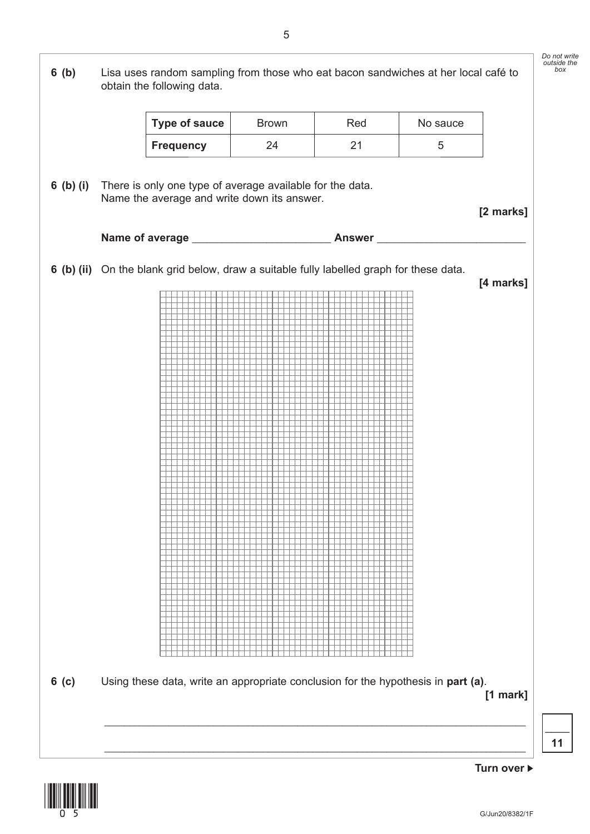

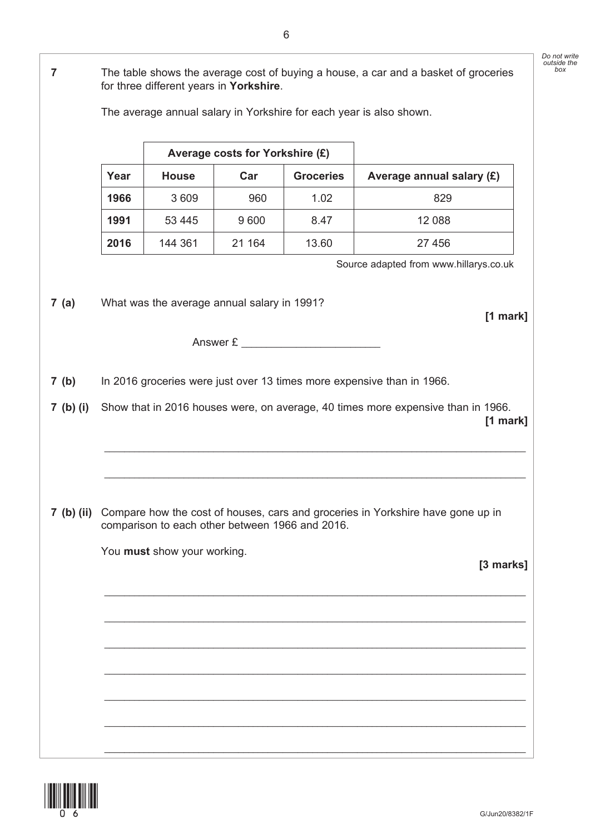**Average costs for Yorkshire (£)** Year | House | Car | Groceries | Average annual salary (£) **1966** 3 609 960 1.02 829 **1991** | 53 445 | 9 600 | 8.47 | 12 088 **2016** 144 361 21 164 13.60 27 456 Source adapted from www.hillarys.co.uk  **7 (a)** What was the average annual salary in 1991? **[1 mark]** Answer £  **7 (b)** In 2016 groceries were just over 13 times more expensive than in 1966.  **7 (b) (i)** Show that in 2016 houses were, on average, 40 times more expensive than in 1966. **[1 mark]** \_\_\_\_\_\_\_\_\_\_\_\_\_\_\_\_\_\_\_\_\_\_\_\_\_\_\_\_\_\_\_\_\_\_\_\_\_\_\_\_\_\_\_\_\_\_\_\_\_\_\_\_\_\_\_\_\_\_\_\_\_\_\_\_\_\_\_\_\_\_\_\_\_\_\_\_\_\_\_\_\_\_\_\_\_ \_\_\_\_\_\_\_\_\_\_\_\_\_\_\_\_\_\_\_\_\_\_\_\_\_\_\_\_\_\_\_\_\_\_\_\_\_\_\_\_\_\_\_\_\_\_\_\_\_\_\_\_\_\_\_\_\_\_\_\_\_\_\_\_\_\_\_\_\_\_\_\_\_\_\_\_\_\_\_\_\_\_\_\_\_  **7 (b) (ii)** Compare how the cost of houses, cars and groceries in Yorkshire have gone up in comparison to each other between 1966 and 2016. You **must** show your working. **[3 marks]** \_\_\_\_\_\_\_\_\_\_\_\_\_\_\_\_\_\_\_\_\_\_\_\_\_\_\_\_\_\_\_\_\_\_\_\_\_\_\_\_\_\_\_\_\_\_\_\_\_\_\_\_\_\_\_\_\_\_\_\_\_\_\_\_\_\_\_\_\_\_\_\_\_\_\_\_\_\_\_\_\_\_\_\_\_ \_\_\_\_\_\_\_\_\_\_\_\_\_\_\_\_\_\_\_\_\_\_\_\_\_\_\_\_\_\_\_\_\_\_\_\_\_\_\_\_\_\_\_\_\_\_\_\_\_\_\_\_\_\_\_\_\_\_\_\_\_\_\_\_\_\_\_\_\_\_\_\_\_\_\_\_\_\_\_\_\_\_\_\_\_ \_\_\_\_\_\_\_\_\_\_\_\_\_\_\_\_\_\_\_\_\_\_\_\_\_\_\_\_\_\_\_\_\_\_\_\_\_\_\_\_\_\_\_\_\_\_\_\_\_\_\_\_\_\_\_\_\_\_\_\_\_\_\_\_\_\_\_\_\_\_\_\_\_\_\_\_\_\_\_\_\_\_\_\_\_ \_\_\_\_\_\_\_\_\_\_\_\_\_\_\_\_\_\_\_\_\_\_\_\_\_\_\_\_\_\_\_\_\_\_\_\_\_\_\_\_\_\_\_\_\_\_\_\_\_\_\_\_\_\_\_\_\_\_\_\_\_\_\_\_\_\_\_\_\_\_\_\_\_\_\_\_\_\_\_\_\_\_\_\_\_ \_\_\_\_\_\_\_\_\_\_\_\_\_\_\_\_\_\_\_\_\_\_\_\_\_\_\_\_\_\_\_\_\_\_\_\_\_\_\_\_\_\_\_\_\_\_\_\_\_\_\_\_\_\_\_\_\_\_\_\_\_\_\_\_\_\_\_\_\_\_\_\_\_\_\_\_\_\_\_\_\_\_\_\_\_ \_\_\_\_\_\_\_\_\_\_\_\_\_\_\_\_\_\_\_\_\_\_\_\_\_\_\_\_\_\_\_\_\_\_\_\_\_\_\_\_\_\_\_\_\_\_\_\_\_\_\_\_\_\_\_\_\_\_\_\_\_\_\_\_\_\_\_\_\_\_\_\_\_\_\_\_\_\_\_\_\_\_\_\_\_ \_\_\_\_\_\_\_\_\_\_\_\_\_\_\_\_\_\_\_\_\_\_\_\_\_\_\_\_\_\_\_\_\_\_\_\_\_\_\_\_\_\_\_\_\_\_\_\_\_\_\_\_\_\_\_\_\_\_\_\_\_\_\_\_\_\_\_\_\_\_\_\_\_\_\_\_\_\_\_\_\_\_\_\_\_



 **7** The table shows the average cost of buying a house, a car and a basket of groceries

The average annual salary in Yorkshire for each year is also shown.

for three different years in **Yorkshire**.

*Do not write outside the box*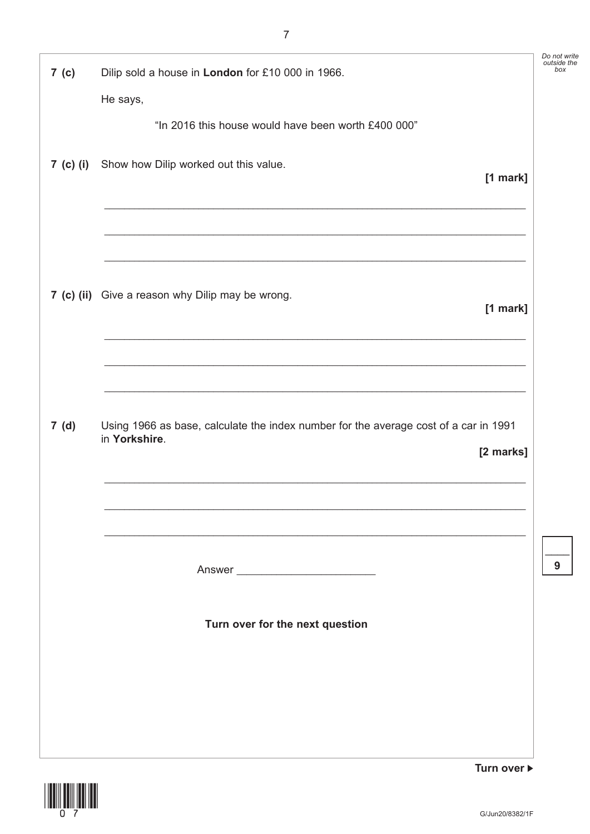| 7 (c) | Dilip sold a house in London for £10 000 in 1966.<br>He says,                                                      | Do not write<br>outside the<br>box |
|-------|--------------------------------------------------------------------------------------------------------------------|------------------------------------|
|       | "In 2016 this house would have been worth £400 000"                                                                |                                    |
|       | 7 (c) (i) Show how Dilip worked out this value.<br>[1 mark]                                                        |                                    |
|       | 7 (c) (ii) Give a reason why Dilip may be wrong.<br>[1 mark]                                                       |                                    |
| 7(d)  | Using 1966 as base, calculate the index number for the average cost of a car in 1991<br>in Yorkshire.<br>[2 marks] |                                    |
|       |                                                                                                                    | 9                                  |
|       | Turn over for the next question                                                                                    |                                    |
|       |                                                                                                                    |                                    |



Turn over ▶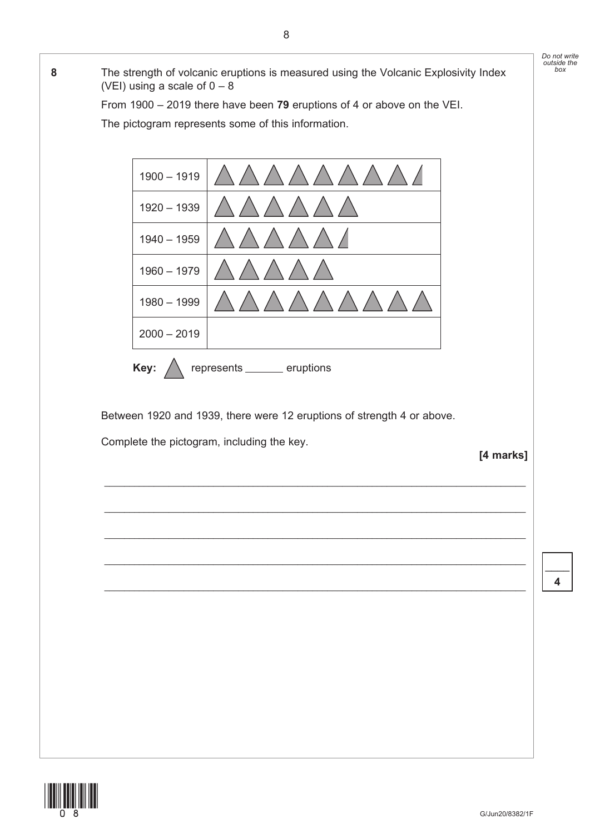

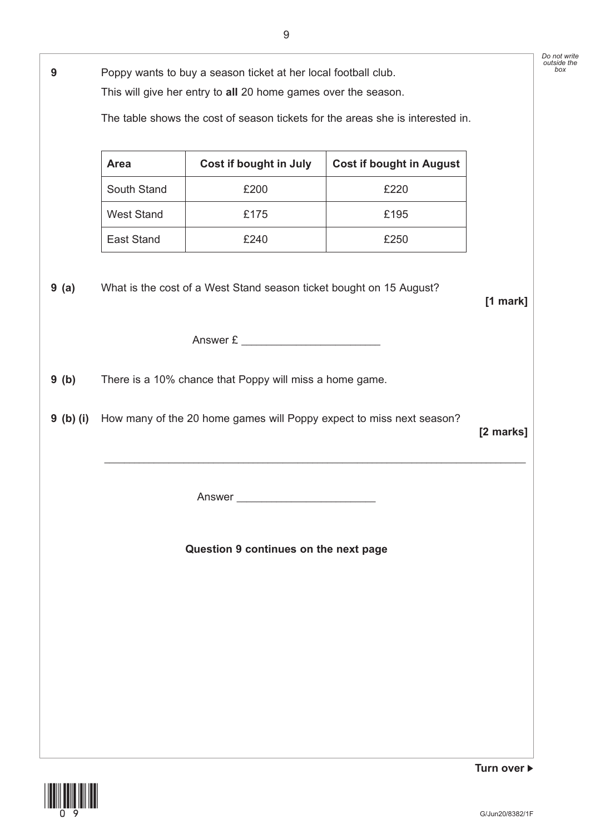|             |                   |                                                                      |                                                                                | Do not write<br>outside the |
|-------------|-------------------|----------------------------------------------------------------------|--------------------------------------------------------------------------------|-----------------------------|
| 9           |                   | Poppy wants to buy a season ticket at her local football club.       |                                                                                |                             |
|             |                   | This will give her entry to all 20 home games over the season.       |                                                                                |                             |
|             |                   |                                                                      | The table shows the cost of season tickets for the areas she is interested in. |                             |
|             |                   |                                                                      |                                                                                |                             |
|             | <b>Area</b>       | Cost if bought in July                                               | <b>Cost if bought in August</b>                                                |                             |
|             | South Stand       | £200                                                                 | £220                                                                           |                             |
|             | <b>West Stand</b> | £175                                                                 | £195                                                                           |                             |
|             | East Stand        | £240                                                                 | £250                                                                           |                             |
|             |                   |                                                                      |                                                                                |                             |
| 9(a)        |                   | What is the cost of a West Stand season ticket bought on 15 August?  |                                                                                |                             |
|             |                   |                                                                      |                                                                                | [1 mark]                    |
|             |                   | Answer £                                                             |                                                                                |                             |
|             |                   |                                                                      |                                                                                |                             |
| 9(b)        |                   | There is a 10% chance that Poppy will miss a home game.              |                                                                                |                             |
|             |                   |                                                                      |                                                                                |                             |
|             |                   |                                                                      |                                                                                |                             |
|             |                   | How many of the 20 home games will Poppy expect to miss next season? |                                                                                |                             |
| $9$ (b) (i) |                   |                                                                      |                                                                                | [2 marks]                   |
|             |                   |                                                                      |                                                                                |                             |
|             |                   |                                                                      |                                                                                |                             |
|             |                   |                                                                      |                                                                                |                             |
|             |                   |                                                                      |                                                                                |                             |
|             |                   | Question 9 continues on the next page                                |                                                                                |                             |
|             |                   |                                                                      |                                                                                |                             |
|             |                   |                                                                      |                                                                                |                             |
|             |                   |                                                                      |                                                                                |                             |
|             |                   |                                                                      |                                                                                |                             |
|             |                   |                                                                      |                                                                                |                             |
|             |                   |                                                                      |                                                                                |                             |
|             |                   |                                                                      |                                                                                |                             |

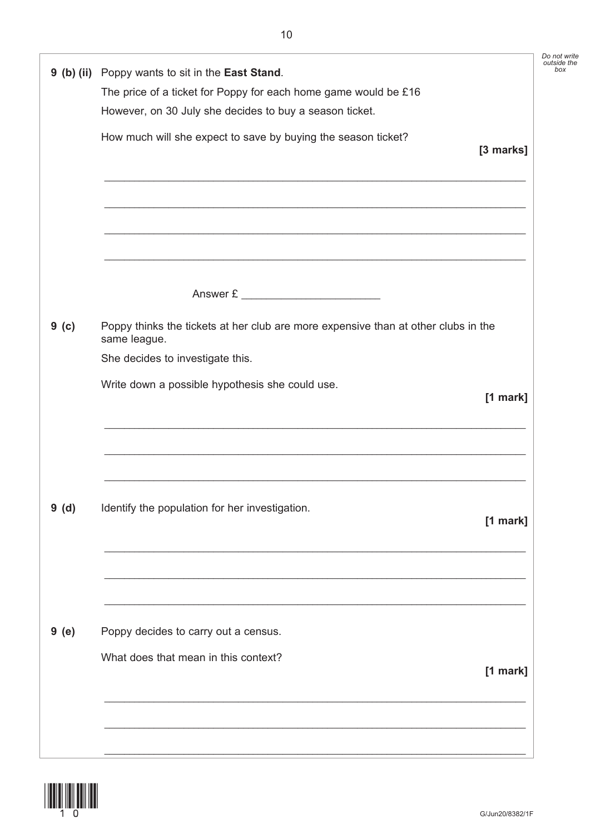| 9 (b) (ii) Poppy wants to sit in the East Stand.<br>The price of a ticket for Poppy for each home game would be £16 |            |
|---------------------------------------------------------------------------------------------------------------------|------------|
| However, on 30 July she decides to buy a season ticket.                                                             |            |
| How much will she expect to save by buying the season ticket?                                                       |            |
|                                                                                                                     | [3 marks]  |
|                                                                                                                     |            |
| <u> 1989 - Johann Stoff, amerikansk politiker (* 1908)</u>                                                          |            |
|                                                                                                                     |            |
| <u> 1989 - Johann Stoff, amerikansk politiker (* 1908)</u>                                                          |            |
|                                                                                                                     |            |
| Answer £                                                                                                            |            |
| Poppy thinks the tickets at her club are more expensive than at other clubs in the<br>same league.                  |            |
| She decides to investigate this.                                                                                    |            |
| Write down a possible hypothesis she could use.                                                                     | $[1$ mark] |
|                                                                                                                     |            |
|                                                                                                                     |            |
|                                                                                                                     |            |
|                                                                                                                     |            |
| Identify the population for her investigation.                                                                      | $[1$ mark] |
|                                                                                                                     |            |
|                                                                                                                     |            |
|                                                                                                                     |            |
|                                                                                                                     |            |
| Poppy decides to carry out a census.                                                                                |            |
|                                                                                                                     |            |
| What does that mean in this context?                                                                                | $[1$ mark] |

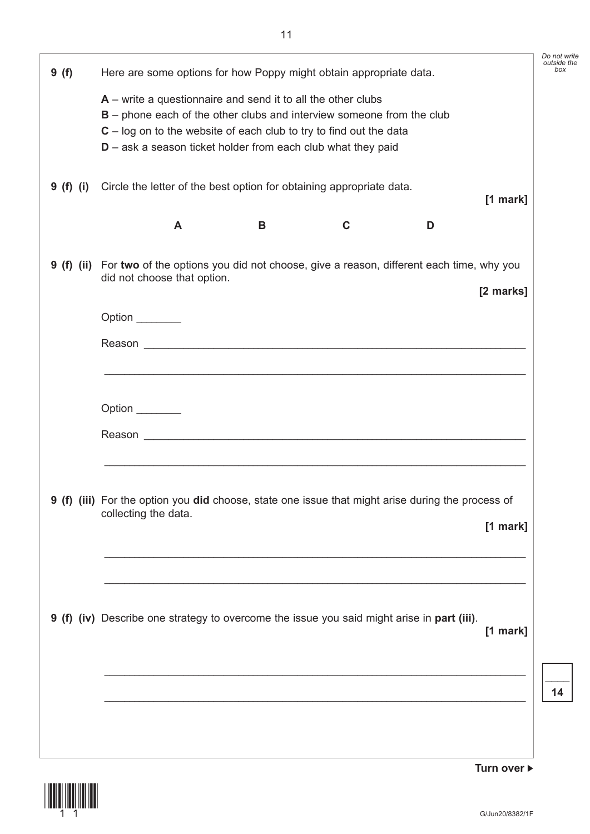| 9(f)      | Here are some options for how Poppy might obtain appropriate data.                                                                                                                                                                                                                  |             |   |            |
|-----------|-------------------------------------------------------------------------------------------------------------------------------------------------------------------------------------------------------------------------------------------------------------------------------------|-------------|---|------------|
|           | $A$ – write a questionnaire and send it to all the other clubs<br>$B$ – phone each of the other clubs and interview someone from the club<br>$C - log$ on to the website of each club to try to find out the data<br>$D$ – ask a season ticket holder from each club what they paid |             |   |            |
| 9 (f) (i) | Circle the letter of the best option for obtaining appropriate data.                                                                                                                                                                                                                |             |   | $[1$ mark] |
|           | B<br>A                                                                                                                                                                                                                                                                              | $\mathbf C$ | D |            |
|           | 9 (f) (ii) For two of the options you did not choose, give a reason, different each time, why you<br>did not choose that option.                                                                                                                                                    |             |   |            |
|           |                                                                                                                                                                                                                                                                                     |             |   | [2 marks]  |
|           | Option _______                                                                                                                                                                                                                                                                      |             |   |            |
|           |                                                                                                                                                                                                                                                                                     |             |   |            |
|           |                                                                                                                                                                                                                                                                                     |             |   |            |
|           | Option ________                                                                                                                                                                                                                                                                     |             |   |            |
|           |                                                                                                                                                                                                                                                                                     |             |   |            |
|           |                                                                                                                                                                                                                                                                                     |             |   |            |
|           | 9 (f) (iii) For the option you did choose, state one issue that might arise during the process of<br>collecting the data.                                                                                                                                                           |             |   |            |
|           |                                                                                                                                                                                                                                                                                     |             |   | $[1$ mark] |
|           |                                                                                                                                                                                                                                                                                     |             |   |            |
|           |                                                                                                                                                                                                                                                                                     |             |   |            |
|           |                                                                                                                                                                                                                                                                                     |             |   |            |
|           | 9 (f) (iv) Describe one strategy to overcome the issue you said might arise in part (iii).                                                                                                                                                                                          |             |   |            |
|           |                                                                                                                                                                                                                                                                                     |             |   | $[1$ mark] |
|           |                                                                                                                                                                                                                                                                                     |             |   |            |
|           |                                                                                                                                                                                                                                                                                     |             |   |            |
|           |                                                                                                                                                                                                                                                                                     |             |   |            |

(11)

**Turn over**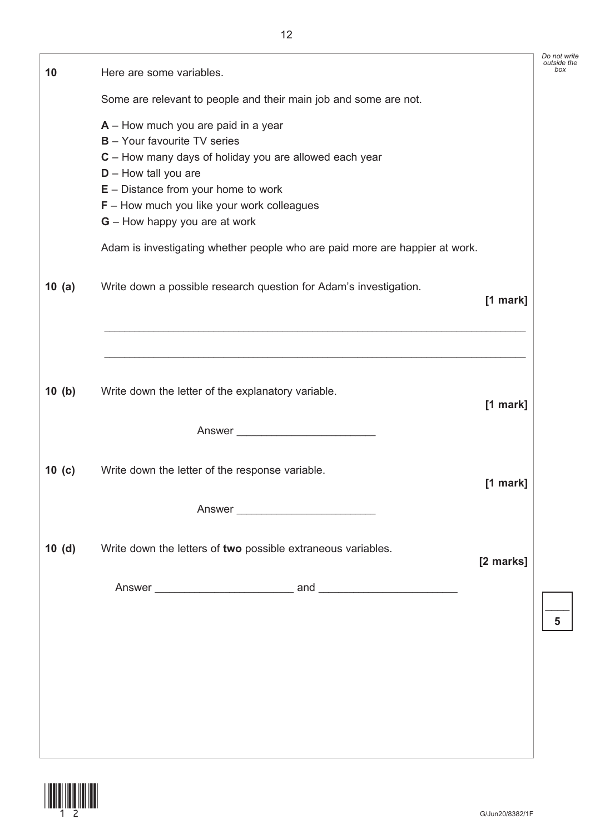| 10       | Here are some variables.                                                                                                                                                                                                                                                                   |            |
|----------|--------------------------------------------------------------------------------------------------------------------------------------------------------------------------------------------------------------------------------------------------------------------------------------------|------------|
|          | Some are relevant to people and their main job and some are not.                                                                                                                                                                                                                           |            |
|          | $A -$ How much you are paid in a year<br><b>B</b> - Your favourite TV series<br>C - How many days of holiday you are allowed each year<br>$D -$ How tall you are<br>$E -$ Distance from your home to work<br>$F -$ How much you like your work colleagues<br>G - How happy you are at work |            |
|          | Adam is investigating whether people who are paid more are happier at work.                                                                                                                                                                                                                |            |
| 10 $(a)$ | Write down a possible research question for Adam's investigation.                                                                                                                                                                                                                          | $[1$ mark] |
|          |                                                                                                                                                                                                                                                                                            |            |
| 10 (b)   | Write down the letter of the explanatory variable.                                                                                                                                                                                                                                         | [1 mark]   |
|          | Answer                                                                                                                                                                                                                                                                                     |            |
| 10 $(c)$ | Write down the letter of the response variable.                                                                                                                                                                                                                                            | $[1$ mark] |
|          | Answer                                                                                                                                                                                                                                                                                     |            |
| 10(d)    | Write down the letters of two possible extraneous variables.                                                                                                                                                                                                                               | [2 marks]  |
|          |                                                                                                                                                                                                                                                                                            |            |
|          |                                                                                                                                                                                                                                                                                            |            |
|          |                                                                                                                                                                                                                                                                                            |            |
|          |                                                                                                                                                                                                                                                                                            |            |
|          |                                                                                                                                                                                                                                                                                            |            |
|          |                                                                                                                                                                                                                                                                                            |            |



 $\overline{\phantom{a}}$ **5**

*Do not write outside the box*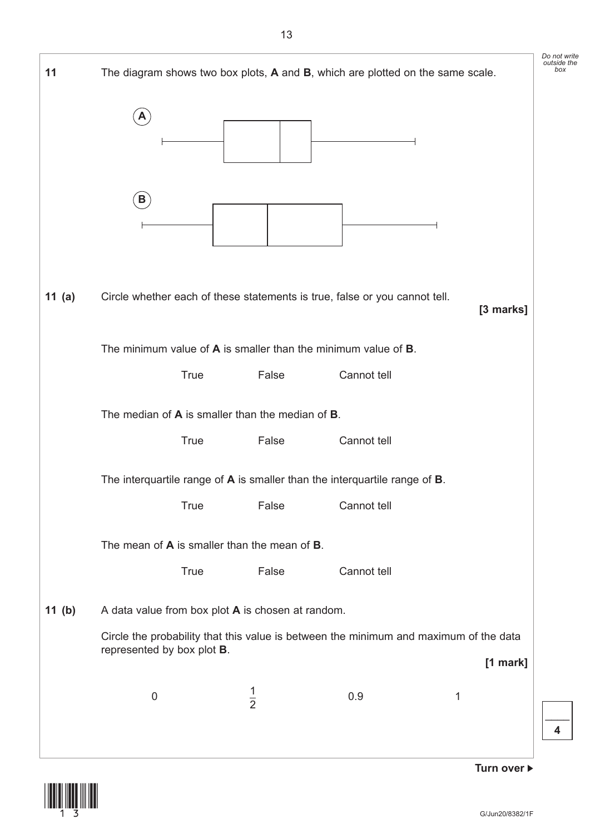

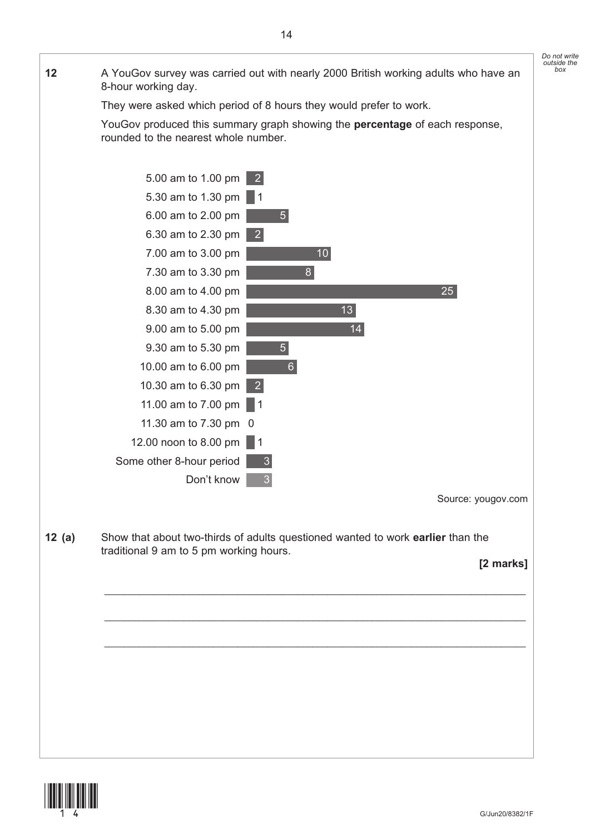*Do not write outside the box* **12** A YouGov survey was carried out with nearly 2000 British working adults who have an 8-hour working day. They were asked which period of 8 hours they would prefer to work. YouGov produced this summary graph showing the **percentage** of each response, rounded to the nearest whole number.



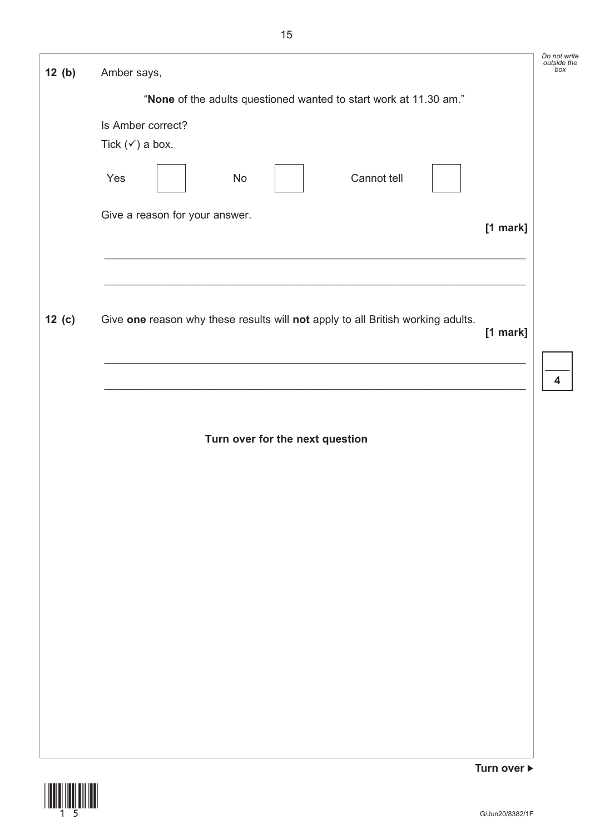| 12(b)    | Amber says,                                                                                 | Do not write<br>outside the<br>box |
|----------|---------------------------------------------------------------------------------------------|------------------------------------|
|          | "None of the adults questioned wanted to start work at 11.30 am."                           |                                    |
|          | Is Amber correct?<br>Tick $(\checkmark)$ a box.<br>Cannot tell<br>Yes<br>No                 |                                    |
|          | Give a reason for your answer.<br>[1 mark]                                                  |                                    |
| $12$ (c) | Give one reason why these results will not apply to all British working adults.<br>[1 mark] | $\overline{\mathbf{4}}$            |
|          | Turn over for the next question                                                             |                                    |
|          |                                                                                             |                                    |
|          |                                                                                             |                                    |
|          |                                                                                             |                                    |
|          | Turn over ▶                                                                                 |                                    |

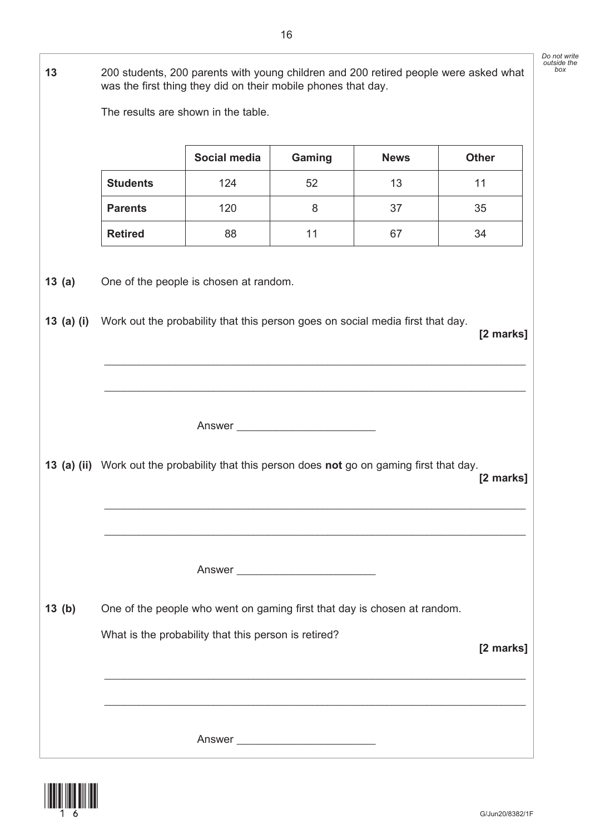**13** 200 students, 200 parents with young children and 200 retired people were asked what was the first thing they did on their mobile phones that day.

The results are shown in the table.

|       |                                                                                             | Social media                                                             | Gaming | <b>News</b> | <b>Other</b> |
|-------|---------------------------------------------------------------------------------------------|--------------------------------------------------------------------------|--------|-------------|--------------|
|       | <b>Students</b>                                                                             | 124                                                                      | 52     | 13          | 11           |
|       | <b>Parents</b>                                                                              | 120                                                                      | 8      | 37          | 35           |
|       | <b>Retired</b>                                                                              | 88                                                                       | 11     | 67          | 34           |
| 13(a) | 13 (a) (i) Work out the probability that this person goes on social media first that day.   | One of the people is chosen at random.                                   |        |             |              |
|       |                                                                                             |                                                                          |        |             | [2 marks]    |
|       |                                                                                             |                                                                          |        |             |              |
|       |                                                                                             |                                                                          |        |             |              |
|       |                                                                                             |                                                                          | Answer |             |              |
|       |                                                                                             |                                                                          |        |             |              |
|       | 13 (a) (ii) Work out the probability that this person does not go on gaming first that day. |                                                                          |        |             | [2 marks]    |
|       |                                                                                             |                                                                          |        |             |              |
|       |                                                                                             |                                                                          |        |             |              |
|       |                                                                                             |                                                                          |        |             |              |
|       |                                                                                             |                                                                          | Answer |             |              |
|       |                                                                                             |                                                                          |        |             |              |
| 13(b) |                                                                                             | One of the people who went on gaming first that day is chosen at random. |        |             |              |
|       |                                                                                             | What is the probability that this person is retired?                     |        |             | [2 marks]    |
|       |                                                                                             |                                                                          |        |             |              |
|       |                                                                                             |                                                                          |        |             |              |
|       |                                                                                             |                                                                          |        |             |              |
|       |                                                                                             |                                                                          |        |             |              |



*Do not write outside the box*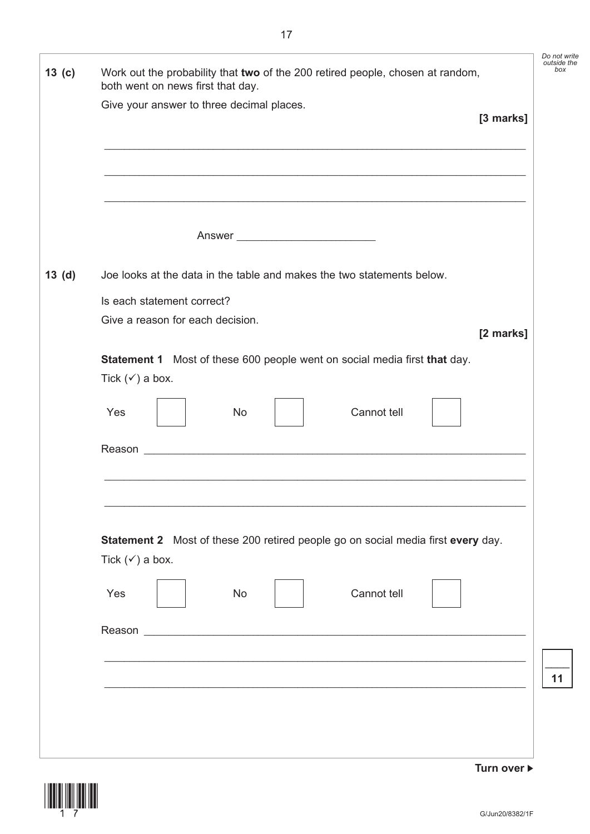| 13 <sub>(c)</sub> | Work out the probability that two of the 200 retired people, chosen at random,<br>both went on news first that day. | Do not write<br>outside the<br>box |
|-------------------|---------------------------------------------------------------------------------------------------------------------|------------------------------------|
|                   | Give your answer to three decimal places.<br>[3 marks]                                                              |                                    |
|                   |                                                                                                                     |                                    |
|                   |                                                                                                                     |                                    |
|                   |                                                                                                                     |                                    |
| 13(d)             | Joe looks at the data in the table and makes the two statements below.                                              |                                    |
|                   | Is each statement correct?                                                                                          |                                    |
|                   | Give a reason for each decision.<br>[2 marks]                                                                       |                                    |
|                   | Statement 1 Most of these 600 people went on social media first that day.                                           |                                    |
|                   | Tick $(\checkmark)$ a box.                                                                                          |                                    |
|                   | Cannot tell<br>Yes<br><b>No</b>                                                                                     |                                    |
|                   |                                                                                                                     |                                    |
|                   |                                                                                                                     |                                    |
|                   |                                                                                                                     |                                    |
|                   |                                                                                                                     |                                    |
|                   | Statement 2 Most of these 200 retired people go on social media first every day.<br>Tick $(\checkmark)$ a box.      |                                    |
|                   | Cannot tell<br>Yes<br>No                                                                                            |                                    |
|                   |                                                                                                                     |                                    |
|                   |                                                                                                                     |                                    |
|                   |                                                                                                                     | 11                                 |
|                   |                                                                                                                     |                                    |
|                   |                                                                                                                     |                                    |
|                   |                                                                                                                     |                                    |

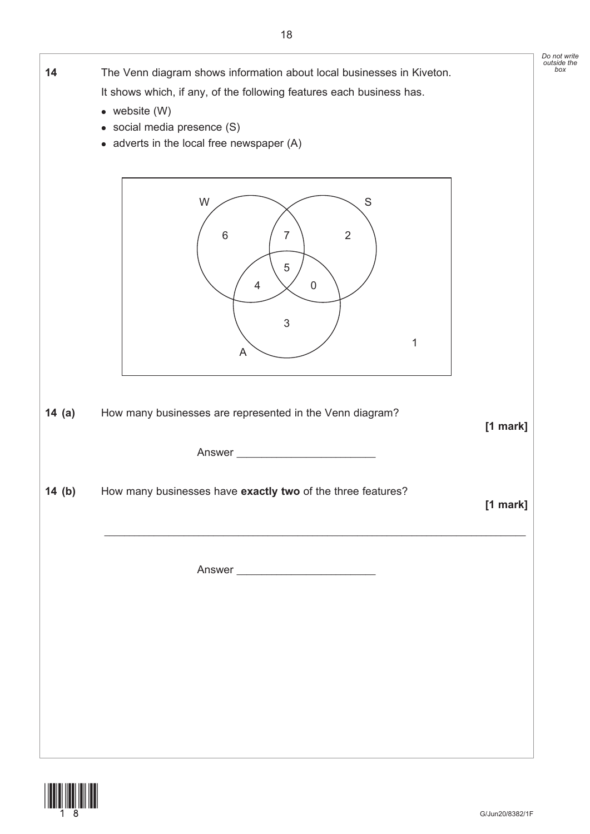

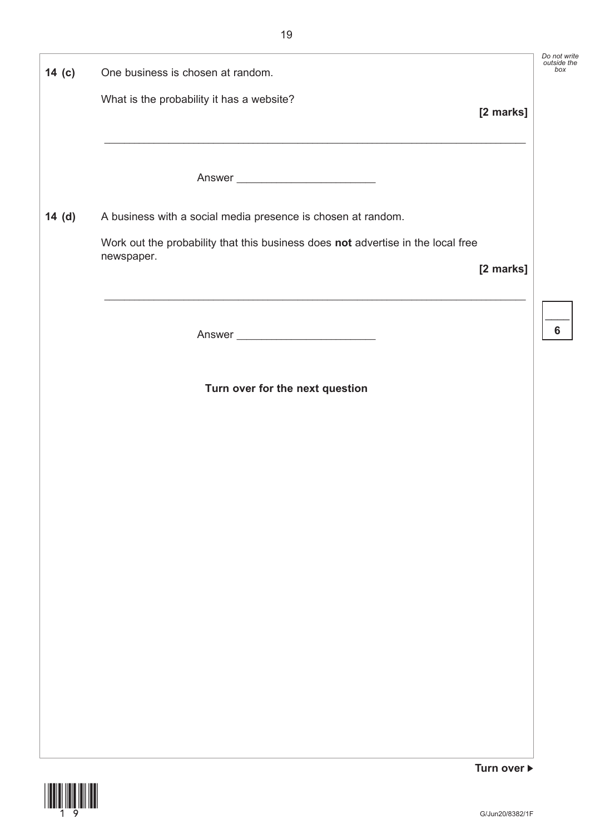| 14 <sub>(c)</sub>                                                  | One business is chosen at random.                                                              |             | Do not write<br>outside the<br>box |
|--------------------------------------------------------------------|------------------------------------------------------------------------------------------------|-------------|------------------------------------|
|                                                                    | What is the probability it has a website?                                                      | [2 marks]   |                                    |
|                                                                    |                                                                                                |             |                                    |
|                                                                    |                                                                                                |             |                                    |
| 14(d)                                                              | A business with a social media presence is chosen at random.                                   |             |                                    |
|                                                                    | Work out the probability that this business does not advertise in the local free<br>newspaper. |             |                                    |
|                                                                    |                                                                                                | [2 marks]   |                                    |
|                                                                    | <u> 1989 - Johann Stoff, amerikansk politiker (d. 1989)</u>                                    |             |                                    |
|                                                                    |                                                                                                |             | 6                                  |
|                                                                    | Turn over for the next question                                                                |             |                                    |
|                                                                    |                                                                                                |             |                                    |
|                                                                    |                                                                                                |             |                                    |
|                                                                    |                                                                                                |             |                                    |
|                                                                    |                                                                                                |             |                                    |
|                                                                    |                                                                                                |             |                                    |
|                                                                    |                                                                                                |             |                                    |
|                                                                    |                                                                                                |             |                                    |
|                                                                    |                                                                                                |             |                                    |
|                                                                    |                                                                                                |             |                                    |
|                                                                    |                                                                                                |             |                                    |
|                                                                    |                                                                                                |             |                                    |
| <b><i><u>AMERICAN ALEXANDER PROPERTY OF REAL PROPERTY.</u></i></b> |                                                                                                | Turn over ▶ |                                    |

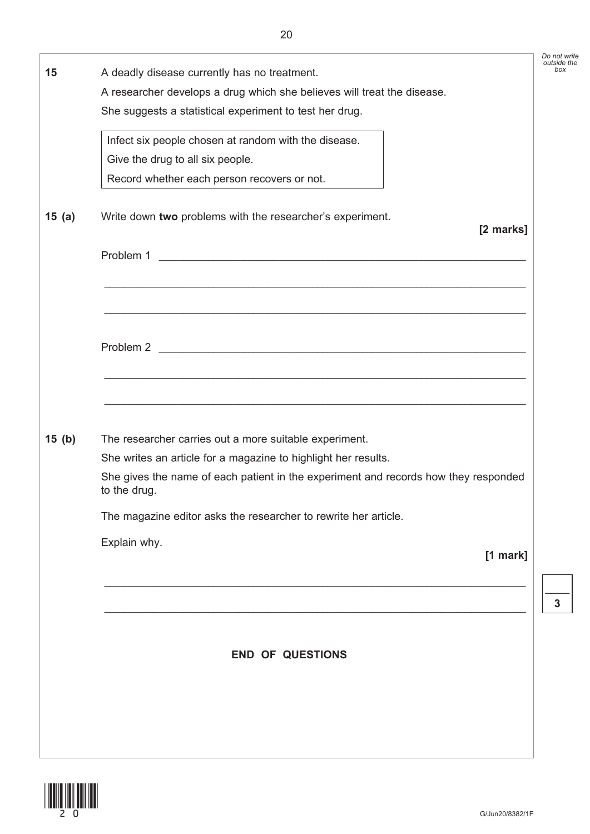| 15    | A deadly disease currently has no treatment.<br>A researcher develops a drug which she believes will treat the disease. | Do not write<br>outside the<br>box |
|-------|-------------------------------------------------------------------------------------------------------------------------|------------------------------------|
|       | She suggests a statistical experiment to test her drug.                                                                 |                                    |
|       | Infect six people chosen at random with the disease.<br>Give the drug to all six people.                                |                                    |
|       | Record whether each person recovers or not.                                                                             |                                    |
| 15(a) | Write down two problems with the researcher's experiment.<br>[2 marks]                                                  |                                    |
|       | Problem 1                                                                                                               |                                    |
|       | <u> 1989 - Johann Stoff, amerikansk politiker (* 1908)</u>                                                              |                                    |
|       |                                                                                                                         |                                    |
|       |                                                                                                                         |                                    |
|       |                                                                                                                         |                                    |
|       | <u> 1989 - Johann Stoff, amerikansk politiker (d. 1989)</u>                                                             |                                    |
| 15(b) | The researcher carries out a more suitable experiment.                                                                  |                                    |
|       | She writes an article for a magazine to highlight her results.                                                          |                                    |
|       | She gives the name of each patient in the experiment and records how they responded<br>to the drug.                     |                                    |
|       | The magazine editor asks the researcher to rewrite her article.                                                         |                                    |
|       | Explain why.<br>[1 mark]                                                                                                |                                    |
|       |                                                                                                                         | 3                                  |
|       |                                                                                                                         |                                    |
|       | <b>END OF QUESTIONS</b>                                                                                                 |                                    |
|       |                                                                                                                         |                                    |
|       |                                                                                                                         |                                    |
|       |                                                                                                                         |                                    |
|       |                                                                                                                         |                                    |

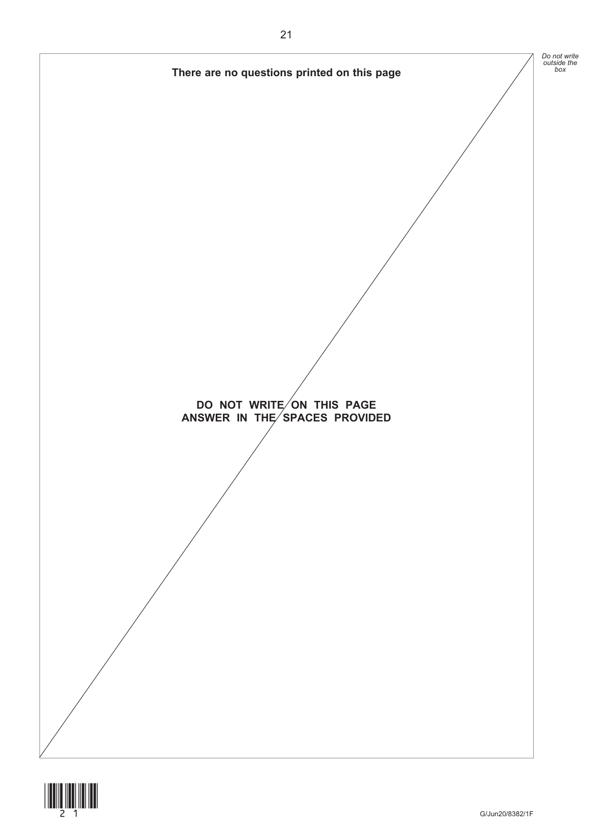

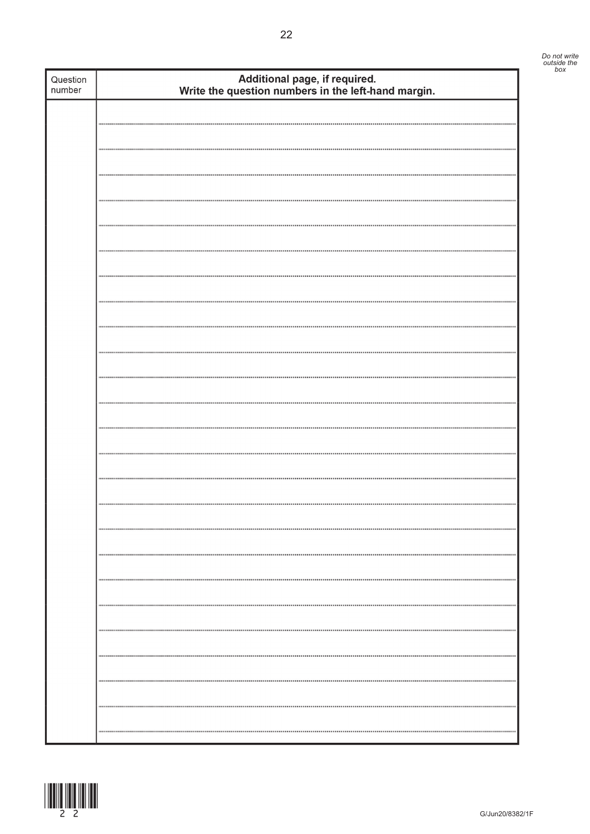| Question<br>number | Additional page, if required.<br>Write the question numbers in the left-hand margin. |  |
|--------------------|--------------------------------------------------------------------------------------|--|
|                    |                                                                                      |  |
|                    |                                                                                      |  |
|                    |                                                                                      |  |
|                    |                                                                                      |  |
|                    |                                                                                      |  |
|                    |                                                                                      |  |
|                    |                                                                                      |  |
|                    |                                                                                      |  |
|                    |                                                                                      |  |
|                    |                                                                                      |  |
|                    |                                                                                      |  |
|                    |                                                                                      |  |
|                    |                                                                                      |  |
|                    |                                                                                      |  |
|                    |                                                                                      |  |
|                    |                                                                                      |  |
|                    |                                                                                      |  |
|                    |                                                                                      |  |
|                    |                                                                                      |  |
|                    |                                                                                      |  |
|                    |                                                                                      |  |
|                    |                                                                                      |  |
|                    |                                                                                      |  |
|                    |                                                                                      |  |
|                    |                                                                                      |  |
|                    |                                                                                      |  |
|                    |                                                                                      |  |
|                    |                                                                                      |  |
|                    | <br>                                                                                 |  |

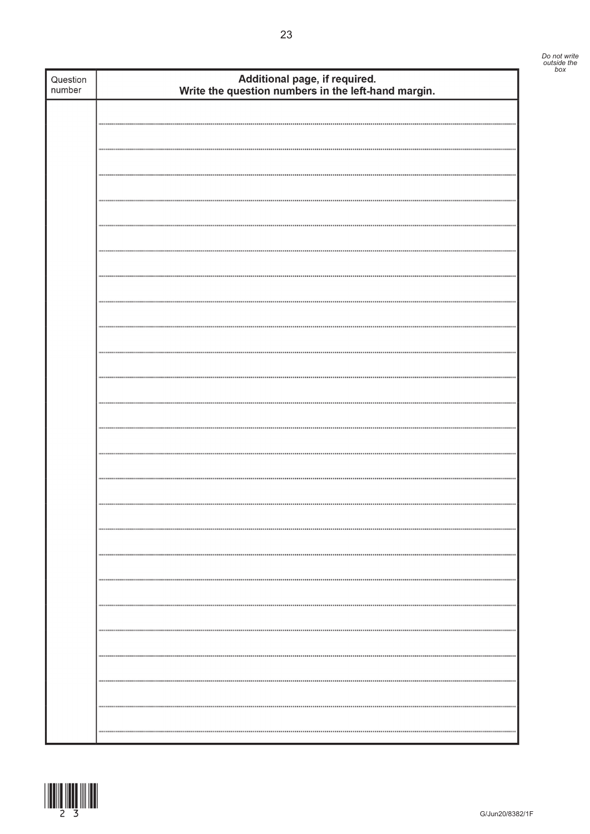| Question<br>number | Additional page, if required.<br>Write the question numbers in the left-hand margin. |  |
|--------------------|--------------------------------------------------------------------------------------|--|
|                    |                                                                                      |  |
|                    |                                                                                      |  |
|                    |                                                                                      |  |
|                    |                                                                                      |  |
|                    |                                                                                      |  |
|                    |                                                                                      |  |
|                    |                                                                                      |  |
|                    |                                                                                      |  |
|                    |                                                                                      |  |
|                    |                                                                                      |  |
|                    |                                                                                      |  |
|                    |                                                                                      |  |
|                    |                                                                                      |  |
|                    |                                                                                      |  |
|                    |                                                                                      |  |
|                    |                                                                                      |  |
|                    |                                                                                      |  |
|                    |                                                                                      |  |
|                    |                                                                                      |  |
|                    |                                                                                      |  |
|                    |                                                                                      |  |
|                    |                                                                                      |  |
|                    |                                                                                      |  |
|                    |                                                                                      |  |
|                    |                                                                                      |  |
|                    |                                                                                      |  |
|                    |                                                                                      |  |
|                    |                                                                                      |  |
|                    |                                                                                      |  |
|                    |                                                                                      |  |
|                    |                                                                                      |  |